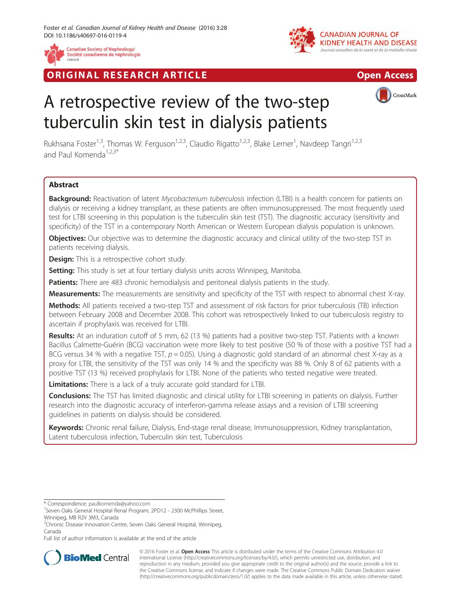

Société canadienne de néphrologie



**RIGINAL RESEARCH ARTICLE CONSUMING ACCESS** 



# A retrospective review of the two-step tuberculin skin test in dialysis patients

Rukhsana Foster<sup>1,3</sup>, Thomas W. Ferguson<sup>1,2,3</sup>, Claudio Rigatto<sup>1,2,3</sup>, Blake Lerner<sup>1</sup>, Navdeep Tangri<sup>1,2,3</sup> and Paul Komenda<sup>1,2,3\*</sup>

# Abstract

Background: Reactivation of latent Mycobacterium tuberculosis infection (LTBI) is a health concern for patients on dialysis or receiving a kidney transplant, as these patients are often immunosuppressed. The most frequently used test for LTBI screening in this population is the tuberculin skin test (TST). The diagnostic accuracy (sensitivity and specificity) of the TST in a contemporary North American or Western European dialysis population is unknown.

**Objectives:** Our objective was to determine the diagnostic accuracy and clinical utility of the two-step TST in patients receiving dialysis.

**Design:** This is a retrospective cohort study.

Setting: This study is set at four tertiary dialysis units across Winnipeg, Manitoba.

Patients: There are 483 chronic hemodialysis and peritoneal dialysis patients in the study.

Measurements: The measurements are sensitivity and specificity of the TST with respect to abnormal chest X-ray.

Methods: All patients received a two-step TST and assessment of risk factors for prior tuberculosis (TB) infection between February 2008 and December 2008. This cohort was retrospectively linked to our tuberculosis registry to ascertain if prophylaxis was received for LTBI.

Results: At an induration cutoff of 5 mm, 62 (13 %) patients had a positive two-step TST. Patients with a known Bacillus Calmette-Guérin (BCG) vaccination were more likely to test positive (50 % of those with a positive TST had a BCG versus 34 % with a negative TST,  $p = 0.05$ ). Using a diagnostic gold standard of an abnormal chest X-ray as a proxy for LTBI, the sensitivity of the TST was only 14 % and the specificity was 88 %. Only 8 of 62 patients with a positive TST (13 %) received prophylaxis for LTBI. None of the patients who tested negative were treated.

Limitations: There is a lack of a truly accurate gold standard for LTBI.

Conclusions: The TST has limited diagnostic and clinical utility for LTBI screening in patients on dialysis. Further research into the diagnostic accuracy of interferon-gamma release assays and a revision of LTBI screening guidelines in patients on dialysis should be considered.

Keywords: Chronic renal failure, Dialysis, End-stage renal disease, Immunosuppression, Kidney transplantation, Latent tuberculosis infection, Tuberculin skin test, Tuberculosis

Full list of author information is available at the end of the article



© 2016 Foster et al. Open Access This article is distributed under the terms of the Creative Commons Attribution 4.0 International License [\(http://creativecommons.org/licenses/by/4.0/](http://creativecommons.org/licenses/by/4.0/)), which permits unrestricted use, distribution, and reproduction in any medium, provided you give appropriate credit to the original author(s) and the source, provide a link to the Creative Commons license, and indicate if changes were made. The Creative Commons Public Domain Dedication waiver [\(http://creativecommons.org/publicdomain/zero/1.0/](http://creativecommons.org/publicdomain/zero/1.0/)) applies to the data made available in this article, unless otherwise stated.

<sup>\*</sup> Correspondence: [paulkomenda@yahoo.com](mailto:paulkomenda@yahoo.com) <sup>1</sup>

<sup>&</sup>lt;sup>1</sup>Seven Oaks General Hospital Renal Program, 2PD12 - 2300 McPhillips Street, Winnipeg, MB R2V 3M3, Canada

<sup>&</sup>lt;sup>2</sup>Chronic Disease Innovation Centre, Seven Oaks General Hospital, Winnipeg, Canada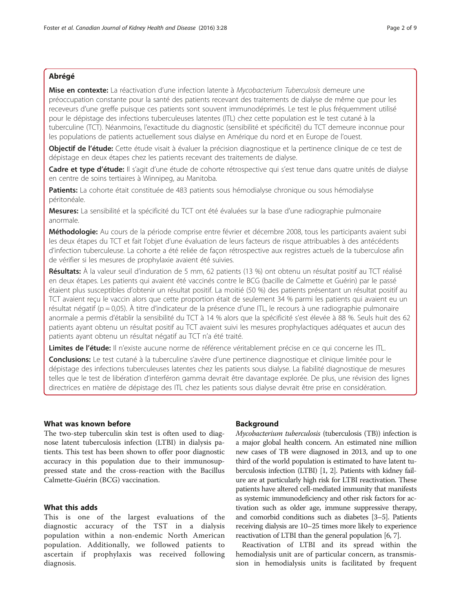# Abrégé

Mise en contexte: La réactivation d'une infection latente à Mycobacterium Tuberculosis demeure une préoccupation constante pour la santé des patients recevant des traitements de dialyse de même que pour les receveurs d'une greffe puisque ces patients sont souvent immunodéprimés. Le test le plus fréquemment utilisé pour le dépistage des infections tuberculeuses latentes (ITL) chez cette population est le test cutané à la tuberculine (TCT). Néanmoins, l'exactitude du diagnostic (sensibilité et spécificité) du TCT demeure inconnue pour les populations de patients actuellement sous dialyse en Amérique du nord et en Europe de l'ouest.

Objectif de l'étude: Cette étude visait à évaluer la précision diagnostique et la pertinence clinique de ce test de dépistage en deux étapes chez les patients recevant des traitements de dialyse.

Cadre et type d'étude: Il s'agit d'une étude de cohorte rétrospective qui s'est tenue dans quatre unités de dialyse en centre de soins tertiaires à Winnipeg, au Manitoba.

Patients: La cohorte était constituée de 483 patients sous hémodialyse chronique ou sous hémodialyse péritonéale.

Mesures: La sensibilité et la spécificité du TCT ont été évaluées sur la base d'une radiographie pulmonaire anormale.

Méthodologie: Au cours de la période comprise entre février et décembre 2008, tous les participants avaient subi les deux étapes du TCT et fait l'objet d'une évaluation de leurs facteurs de risque attribuables à des antécédents d'infection tuberculeuse. La cohorte a été reliée de façon rétrospective aux registres actuels de la tuberculose afin de vérifier si les mesures de prophylaxie avaient été suivies.

Résultats: À la valeur seuil d'induration de 5 mm, 62 patients (13 %) ont obtenu un résultat positif au TCT réalisé en deux étapes. Les patients qui avaient été vaccinés contre le BCG (bacille de Calmette et Guérin) par le passé étaient plus susceptibles d'obtenir un résultat positif. La moitié (50 %) des patients présentant un résultat positif au TCT avaient reçu le vaccin alors que cette proportion était de seulement 34 % parmi les patients qui avaient eu un résultat négatif (p = 0,05). À titre d'indicateur de la présence d'une ITL, le recours à une radiographie pulmonaire anormale a permis d'établir la sensibilité du TCT à 14 % alors que la spécificité s'est élevée à 88 %. Seuls huit des 62 patients ayant obtenu un résultat positif au TCT avaient suivi les mesures prophylactiques adéquates et aucun des patients ayant obtenu un résultat négatif au TCT n'a été traité.

Limites de l'étude: Il n'existe aucune norme de référence véritablement précise en ce qui concerne les ITL.

Conclusions: Le test cutané à la tuberculine s'avère d'une pertinence diagnostique et clinique limitée pour le dépistage des infections tuberculeuses latentes chez les patients sous dialyse. La fiabilité diagnostique de mesures telles que le test de libération d'interféron gamma devrait être davantage explorée. De plus, une révision des lignes directrices en matière de dépistage des ITL chez les patients sous dialyse devrait être prise en considération.

# What was known before

The two-step tuberculin skin test is often used to diagnose latent tuberculosis infection (LTBI) in dialysis patients. This test has been shown to offer poor diagnostic accuracy in this population due to their immunosuppressed state and the cross-reaction with the Bacillus Calmette-Guérin (BCG) vaccination.

# What this adds

This is one of the largest evaluations of the diagnostic accuracy of the TST in a dialysis population within a non-endemic North American population. Additionally, we followed patients to ascertain if prophylaxis was received following diagnosis.

## Background

Mycobacterium tuberculosis (tuberculosis (TB)) infection is a major global health concern. An estimated nine million new cases of TB were diagnosed in 2013, and up to one third of the world population is estimated to have latent tuberculosis infection (LTBI) [\[1](#page-7-0), [2](#page-7-0)]. Patients with kidney failure are at particularly high risk for LTBI reactivation. These patients have altered cell-mediated immunity that manifests as systemic immunodeficiency and other risk factors for activation such as older age, immune suppressive therapy, and comorbid conditions such as diabetes [\[3](#page-7-0)–[5](#page-7-0)]. Patients receiving dialysis are 10–25 times more likely to experience reactivation of LTBI than the general population [\[6, 7](#page-7-0)].

Reactivation of LTBI and its spread within the hemodialysis unit are of particular concern, as transmission in hemodialysis units is facilitated by frequent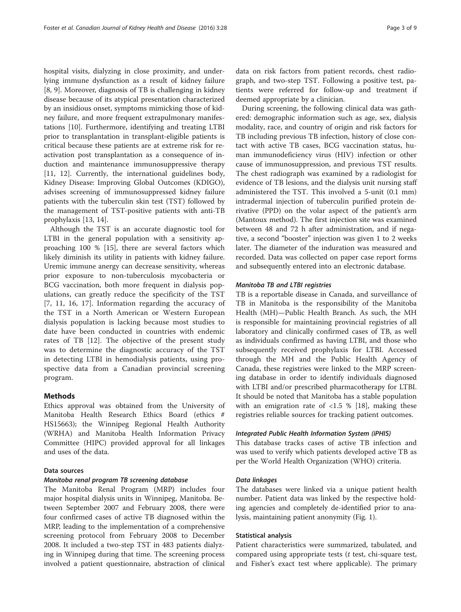hospital visits, dialyzing in close proximity, and underlying immune dysfunction as a result of kidney failure [[8, 9\]](#page-7-0). Moreover, diagnosis of TB is challenging in kidney disease because of its atypical presentation characterized by an insidious onset, symptoms mimicking those of kidney failure, and more frequent extrapulmonary manifestations [\[10](#page-7-0)]. Furthermore, identifying and treating LTBI prior to transplantation in transplant-eligible patients is critical because these patients are at extreme risk for reactivation post transplantation as a consequence of induction and maintenance immunosuppressive therapy [[11, 12](#page-7-0)]. Currently, the international guidelines body, Kidney Disease: Improving Global Outcomes (KDIGO), advises screening of immunosuppressed kidney failure patients with the tuberculin skin test (TST) followed by the management of TST-positive patients with anti-TB prophylaxis [[13, 14\]](#page-7-0).

Although the TST is an accurate diagnostic tool for LTBI in the general population with a sensitivity approaching 100 % [\[15](#page-7-0)], there are several factors which likely diminish its utility in patients with kidney failure. Uremic immune anergy can decrease sensitivity, whereas prior exposure to non-tuberculosis mycobacteria or BCG vaccination, both more frequent in dialysis populations, can greatly reduce the specificity of the TST [[7, 11, 16](#page-7-0), [17](#page-7-0)]. Information regarding the accuracy of the TST in a North American or Western European dialysis population is lacking because most studies to date have been conducted in countries with endemic rates of TB [\[12](#page-7-0)]. The objective of the present study was to determine the diagnostic accuracy of the TST in detecting LTBI in hemodialysis patients, using prospective data from a Canadian provincial screening program.

# Methods

Ethics approval was obtained from the University of Manitoba Health Research Ethics Board (ethics # HS15663); the Winnipeg Regional Health Authority (WRHA) and Manitoba Health Information Privacy Committee (HIPC) provided approval for all linkages and uses of the data.

# Data sources

# Manitoba renal program TB screening database

The Manitoba Renal Program (MRP) includes four major hospital dialysis units in Winnipeg, Manitoba. Between September 2007 and February 2008, there were four confirmed cases of active TB diagnosed within the MRP, leading to the implementation of a comprehensive screening protocol from February 2008 to December 2008. It included a two-step TST in 483 patients dialyzing in Winnipeg during that time. The screening process involved a patient questionnaire, abstraction of clinical data on risk factors from patient records, chest radiograph, and two-step TST. Following a positive test, patients were referred for follow-up and treatment if deemed appropriate by a clinician.

During screening, the following clinical data was gathered: demographic information such as age, sex, dialysis modality, race, and country of origin and risk factors for TB including previous TB infection, history of close contact with active TB cases, BCG vaccination status, human immunodeficiency virus (HIV) infection or other cause of immunosuppression, and previous TST results. The chest radiograph was examined by a radiologist for evidence of TB lesions, and the dialysis unit nursing staff administered the TST. This involved a 5-unit (0.1 mm) intradermal injection of tuberculin purified protein derivative (PPD) on the volar aspect of the patient's arm (Mantoux method). The first injection site was examined between 48 and 72 h after administration, and if negative, a second "booster" injection was given 1 to 2 weeks later. The diameter of the induration was measured and recorded. Data was collected on paper case report forms and subsequently entered into an electronic database.

## Manitoba TB and LTBI registries

TB is a reportable disease in Canada, and surveillance of TB in Manitoba is the responsibility of the Manitoba Health (MH)—Public Health Branch. As such, the MH is responsible for maintaining provincial registries of all laboratory and clinically confirmed cases of TB, as well as individuals confirmed as having LTBI, and those who subsequently received prophylaxis for LTBI. Accessed through the MH and the Public Health Agency of Canada, these registries were linked to the MRP screening database in order to identify individuals diagnosed with LTBI and/or prescribed pharmacotherapy for LTBI. It should be noted that Manitoba has a stable population with an emigration rate of  $\langle 1.5 \times 10^8 \rangle$  [\[18](#page-7-0)], making these registries reliable sources for tracking patient outcomes.

### Integrated Public Health Information System (iPHIS)

This database tracks cases of active TB infection and was used to verify which patients developed active TB as per the World Health Organization (WHO) criteria.

## Data linkages

The databases were linked via a unique patient health number. Patient data was linked by the respective holding agencies and completely de-identified prior to analysis, maintaining patient anonymity (Fig. [1\)](#page-3-0).

### Statistical analysis

Patient characteristics were summarized, tabulated, and compared using appropriate tests  $(t$  test, chi-square test, and Fisher's exact test where applicable). The primary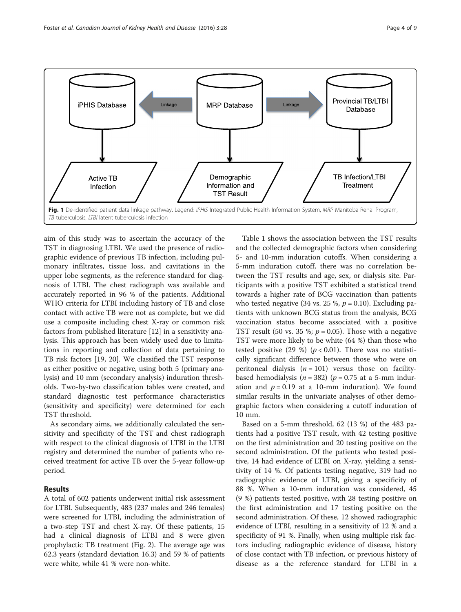<span id="page-3-0"></span>

aim of this study was to ascertain the accuracy of the TST in diagnosing LTBI. We used the presence of radiographic evidence of previous TB infection, including pulmonary infiltrates, tissue loss, and cavitations in the upper lobe segments, as the reference standard for diagnosis of LTBI. The chest radiograph was available and accurately reported in 96 % of the patients. Additional WHO criteria for LTBI including history of TB and close contact with active TB were not as complete, but we did use a composite including chest X-ray or common risk factors from published literature [\[12](#page-7-0)] in a sensitivity analysis. This approach has been widely used due to limitations in reporting and collection of data pertaining to TB risk factors [\[19, 20](#page-7-0)]. We classified the TST response as either positive or negative, using both 5 (primary analysis) and 10 mm (secondary analysis) induration thresholds. Two-by-two classification tables were created, and standard diagnostic test performance characteristics (sensitivity and specificity) were determined for each TST threshold.

As secondary aims, we additionally calculated the sensitivity and specificity of the TST and chest radiograph with respect to the clinical diagnosis of LTBI in the LTBI registry and determined the number of patients who received treatment for active TB over the 5-year follow-up period.

# Results

A total of 602 patients underwent initial risk assessment for LTBI. Subsequently, 483 (237 males and 246 females) were screened for LTBI, including the administration of a two-step TST and chest X-ray. Of these patients, 15 had a clinical diagnosis of LTBI and 8 were given prophylactic TB treatment (Fig. [2\)](#page-4-0). The average age was 62.3 years (standard deviation 16.3) and 59 % of patients were white, while 41 % were non-white.

Table [1](#page-5-0) shows the association between the TST results and the collected demographic factors when considering 5- and 10-mm induration cutoffs. When considering a 5-mm induration cutoff, there was no correlation between the TST results and age, sex, or dialysis site. Participants with a positive TST exhibited a statistical trend towards a higher rate of BCG vaccination than patients who tested negative (34 vs. 25 %,  $p = 0.10$ ). Excluding patients with unknown BCG status from the analysis, BCG vaccination status become associated with a positive TST result (50 vs. 35 %;  $p = 0.05$ ). Those with a negative TST were more likely to be white (64 %) than those who tested positive (29 %) ( $p < 0.01$ ). There was no statistically significant difference between those who were on peritoneal dialysis  $(n = 101)$  versus those on facilitybased hemodialysis ( $n = 382$ ) ( $p = 0.75$  at a 5-mm induration and  $p = 0.19$  at a 10-mm induration). We found similar results in the univariate analyses of other demographic factors when considering a cutoff induration of 10 mm.

Based on a 5-mm threshold, 62 (13 %) of the 483 patients had a positive TST result, with 42 testing positive on the first administration and 20 testing positive on the second administration. Of the patients who tested positive, 14 had evidence of LTBI on X-ray, yielding a sensitivity of 14 %. Of patients testing negative, 319 had no radiographic evidence of LTBI, giving a specificity of 88 %. When a 10-mm induration was considered, 45 (9 %) patients tested positive, with 28 testing positive on the first administration and 17 testing positive on the second administration. Of these, 12 showed radiographic evidence of LTBI, resulting in a sensitivity of 12 % and a specificity of 91 %. Finally, when using multiple risk factors including radiographic evidence of disease, history of close contact with TB infection, or previous history of disease as a the reference standard for LTBI in a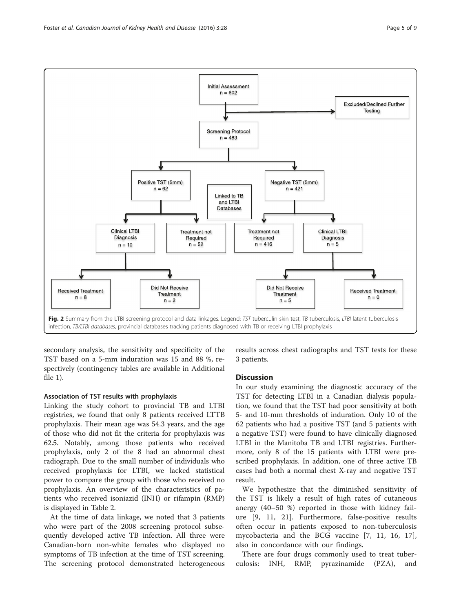<span id="page-4-0"></span>

secondary analysis, the sensitivity and specificity of the TST based on a 5-mm induration was 15 and 88 %, respectively (contingency tables are available in Additional file [1\)](#page-6-0).

# Association of TST results with prophylaxis

Linking the study cohort to provincial TB and LTBI registries, we found that only 8 patients received LTTB prophylaxis. Their mean age was 54.3 years, and the age of those who did not fit the criteria for prophylaxis was 62.5. Notably, among those patients who received prophylaxis, only 2 of the 8 had an abnormal chest radiograph. Due to the small number of individuals who received prophylaxis for LTBI, we lacked statistical power to compare the group with those who received no prophylaxis. An overview of the characteristics of patients who received isoniazid (INH) or rifampin (RMP) is displayed in Table [2.](#page-5-0)

At the time of data linkage, we noted that 3 patients who were part of the 2008 screening protocol subsequently developed active TB infection. All three were Canadian-born non-white females who displayed no symptoms of TB infection at the time of TST screening. The screening protocol demonstrated heterogeneous results across chest radiographs and TST tests for these 3 patients.

# **Discussion**

In our study examining the diagnostic accuracy of the TST for detecting LTBI in a Canadian dialysis population, we found that the TST had poor sensitivity at both 5- and 10-mm thresholds of induration. Only 10 of the 62 patients who had a positive TST (and 5 patients with a negative TST) were found to have clinically diagnosed LTBI in the Manitoba TB and LTBI registries. Furthermore, only 8 of the 15 patients with LTBI were prescribed prophylaxis. In addition, one of three active TB cases had both a normal chest X-ray and negative TST result.

We hypothesize that the diminished sensitivity of the TST is likely a result of high rates of cutaneous anergy (40–50 %) reported in those with kidney failure [\[9](#page-7-0), [11, 21\]](#page-7-0). Furthermore, false-positive results often occur in patients exposed to non-tuberculosis mycobacteria and the BCG vaccine [\[7](#page-7-0), [11, 16, 17](#page-7-0)], also in concordance with our findings.

There are four drugs commonly used to treat tuberculosis: INH, RMP, pyrazinamide (PZA), and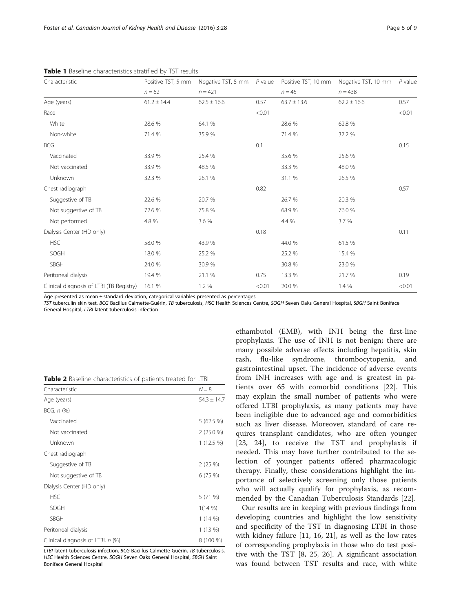| Characteristic                           | $n = 62$ | Positive TST, 5 mm Negative TST, 5 mm P value<br>$n = 421$ |        | $n = 45$ | Positive TST, 10 mm Negative TST, 10 mm<br>$n = 438$ | $P$ value |
|------------------------------------------|----------|------------------------------------------------------------|--------|----------|------------------------------------------------------|-----------|
|                                          |          |                                                            |        |          |                                                      |           |
| Race                                     |          |                                                            | < 0.01 |          |                                                      | < 0.01    |
| White                                    | 28.6 %   | 64.1 %                                                     |        | 28.6 %   | 62.8 %                                               |           |
| Non-white                                | 71.4 %   | 35.9 %                                                     |        | 71.4 %   | 37.2 %                                               |           |
| <b>BCG</b>                               |          |                                                            | 0.1    |          |                                                      | 0.15      |
| Vaccinated                               | 33.9 %   | 25.4 %                                                     |        | 35.6 %   | 25.6 %                                               |           |
| Not vaccinated                           | 33.9 %   | 48.5 %                                                     |        | 33.3 %   | 48.0 %                                               |           |
| Unknown                                  | 32.3 %   | 26.1 %                                                     |        | 31.1 %   | 26.5 %                                               |           |
| Chest radiograph                         |          |                                                            | 0.82   |          |                                                      | 0.57      |
| Suggestive of TB                         | 22.6 %   | 20.7 %                                                     |        | 26.7 %   | 20.3 %                                               |           |
| Not suggestive of TB                     | 72.6 %   | 75.8 %                                                     |        | 68.9 %   | 76.0 %                                               |           |
| Not performed                            | 4.8 %    | 3.6 %                                                      |        | 4.4 %    | 3.7 %                                                |           |
| Dialysis Center (HD only)                |          |                                                            | 0.18   |          |                                                      | 0.11      |
| <b>HSC</b>                               | 58.0 %   | 43.9 %                                                     |        | 44.0 %   | 61.5 %                                               |           |
| SOGH                                     | 18.0 %   | 25.2 %                                                     |        | 25.2 %   | 15.4 %                                               |           |
| SBGH                                     | 24.0 %   | 30.9 %                                                     |        | 30.8 %   | 23.0 %                                               |           |
| Peritoneal dialysis                      | 19.4 %   | 21.1 %                                                     | 0.75   | 13.3 %   | 21.7 %                                               | 0.19      |
| Clinical diagnosis of LTBI (TB Registry) | 16.1 %   | 1.2%                                                       | < 0.01 | 20.0 %   | 1.4 %                                                | < 0.01    |

<span id="page-5-0"></span>Table 1 Baseline characteristics stratified by TST results

Age presented as mean ± standard deviation, categorical variables presented as percentages

TST tuberculin skin test, BCG Bacillus Calmette-Guérin, TB tuberculosis, HSC Health Sciences Centre, SOGH Seven Oaks General Hospital, SBGH Saint Boniface General Hospital, LTBI latent tuberculosis infection

| Characteristic                    | $N = 8$         |
|-----------------------------------|-----------------|
| Age (years)                       | $54.3 \pm 14.7$ |
| $BCG, n$ $(\%)$                   |                 |
| Vaccinated                        | 5 (62.5 %)      |
| Not vaccinated                    | $2(25.0\%)$     |
| Unknown                           | $1(12.5\%)$     |
| Chest radiograph                  |                 |
| Suggestive of TB                  | 2(25%)          |
| Not suggestive of TB              | 6(75%)          |
| Dialysis Center (HD only)         |                 |
| <b>HSC</b>                        | 5 (71 %)        |
| SOGH                              | 1(14%           |
| <b>SBGH</b>                       | $1(14\%)$       |
| Peritoneal dialysis               | 1(13%)          |
| Clinical diagnosis of LTBI, n (%) | 8 (100 %)       |

LTBI latent tuberculosis infection, BCG Bacillus Calmette-Guérin, TB tuberculosis, HSC Health Sciences Centre, SOGH Seven Oaks General Hospital, SBGH Saint Boniface General Hospital

ethambutol (EMB), with INH being the first-line prophylaxis. The use of INH is not benign; there are many possible adverse effects including hepatitis, skin rash, flu-like syndrome, thrombocytopenia, and gastrointestinal upset. The incidence of adverse events from INH increases with age and is greatest in patients over 65 with comorbid conditions [[22](#page-7-0)]. This may explain the small number of patients who were offered LTBI prophylaxis, as many patients may have been ineligible due to advanced age and comorbidities such as liver disease. Moreover, standard of care requires transplant candidates, who are often younger [[23, 24\]](#page-7-0), to receive the TST and prophylaxis if needed. This may have further contributed to the selection of younger patients offered pharmacologic therapy. Finally, these considerations highlight the importance of selectively screening only those patients who will actually qualify for prophylaxis, as recommended by the Canadian Tuberculosis Standards [[22\]](#page-7-0).

Our results are in keeping with previous findings from developing countries and highlight the low sensitivity and specificity of the TST in diagnosing LTBI in those with kidney failure [[11, 16](#page-7-0), [21\]](#page-7-0), as well as the low rates of corresponding prophylaxis in those who do test positive with the TST [[8, 25, 26](#page-7-0)]. A significant association was found between TST results and race, with white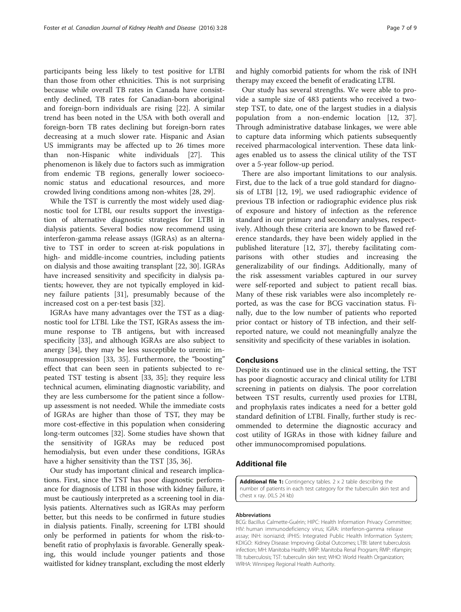<span id="page-6-0"></span>participants being less likely to test positive for LTBI than those from other ethnicities. This is not surprising because while overall TB rates in Canada have consistently declined, TB rates for Canadian-born aboriginal and foreign-born individuals are rising [[22](#page-7-0)]. A similar trend has been noted in the USA with both overall and foreign-born TB rates declining but foreign-born rates decreasing at a much slower rate. Hispanic and Asian US immigrants may be affected up to 26 times more than non-Hispanic white individuals [[27\]](#page-7-0). This phenomenon is likely due to factors such as immigration from endemic TB regions, generally lower socioeconomic status and educational resources, and more crowded living conditions among non-whites [[28, 29\]](#page-8-0).

While the TST is currently the most widely used diagnostic tool for LTBI, our results support the investigation of alternative diagnostic strategies for LTBI in dialysis patients. Several bodies now recommend using interferon-gamma release assays (IGRAs) as an alternative to TST in order to screen at-risk populations in high- and middle-income countries, including patients on dialysis and those awaiting transplant [[22,](#page-7-0) [30](#page-8-0)]. IGRAs have increased sensitivity and specificity in dialysis patients; however, they are not typically employed in kidney failure patients [[31\]](#page-8-0), presumably because of the increased cost on a per-test basis [\[32\]](#page-8-0).

IGRAs have many advantages over the TST as a diagnostic tool for LTBI. Like the TST, IGRAs assess the immune response to TB antigens, but with increased specificity [\[33\]](#page-8-0), and although IGRAs are also subject to anergy [[34\]](#page-8-0), they may be less susceptible to uremic immunosuppression [[33](#page-8-0), [35\]](#page-8-0). Furthermore, the "boosting" effect that can been seen in patients subjected to repeated TST testing is absent [[33](#page-8-0), [35\]](#page-8-0); they require less technical acumen, eliminating diagnostic variability, and they are less cumbersome for the patient since a followup assessment is not needed. While the immediate costs of IGRAs are higher than those of TST, they may be more cost-effective in this population when considering long-term outcomes [[32\]](#page-8-0). Some studies have shown that the sensitivity of IGRAs may be reduced post hemodialysis, but even under these conditions, IGRAs have a higher sensitivity than the TST [\[35](#page-8-0), [36](#page-8-0)].

Our study has important clinical and research implications. First, since the TST has poor diagnostic performance for diagnosis of LTBI in those with kidney failure, it must be cautiously interpreted as a screening tool in dialysis patients. Alternatives such as IGRAs may perform better, but this needs to be confirmed in future studies in dialysis patients. Finally, screening for LTBI should only be performed in patients for whom the risk-tobenefit ratio of prophylaxis is favorable. Generally speaking, this would include younger patients and those waitlisted for kidney transplant, excluding the most elderly and highly comorbid patients for whom the risk of INH therapy may exceed the benefit of eradicating LTBI.

Our study has several strengths. We were able to provide a sample size of 483 patients who received a twostep TST, to date, one of the largest studies in a dialysis population from a non-endemic location [\[12](#page-7-0), [37](#page-8-0)]. Through administrative database linkages, we were able to capture data informing which patients subsequently received pharmacological intervention. These data linkages enabled us to assess the clinical utility of the TST over a 5-year follow-up period.

There are also important limitations to our analysis. First, due to the lack of a true gold standard for diagnosis of LTBI [[12, 19](#page-7-0)], we used radiographic evidence of previous TB infection or radiographic evidence plus risk of exposure and history of infection as the reference standard in our primary and secondary analyses, respectively. Although these criteria are known to be flawed reference standards, they have been widely applied in the published literature [\[12](#page-7-0), [37\]](#page-8-0), thereby facilitating comparisons with other studies and increasing the generalizability of our findings. Additionally, many of the risk assessment variables captured in our survey were self-reported and subject to patient recall bias. Many of these risk variables were also incompletely reported, as was the case for BCG vaccination status. Finally, due to the low number of patients who reported prior contact or history of TB infection, and their selfreported nature, we could not meaningfully analyze the sensitivity and specificity of these variables in isolation.

# Conclusions

Despite its continued use in the clinical setting, the TST has poor diagnostic accuracy and clinical utility for LTBI screening in patients on dialysis. The poor correlation between TST results, currently used proxies for LTBI, and prophylaxis rates indicates a need for a better gold standard definition of LTBI. Finally, further study is recommended to determine the diagnostic accuracy and cost utility of IGRAs in those with kidney failure and other immunocompromised populations.

# Additional file

[Additional file 1:](dx.doi.org/10.1186/s40697-016-0119-4) Contingency tables. 2 x 2 table describing the number of patients in each test category for the tuberculin skin test and chest x ray. (XLS 24 kb)

#### Abbreviations

BCG: Bacillus Calmette-Guérin; HIPC: Health Information Privacy Committee; HIV: human immunodeficiency virus; IGRA: interferon-gamma release assay; INH: isoniazid; iPHIS: Integrated Public Health Information System; KDIGO: Kidney Disease: Improving Global Outcomes; LTBI: latent tuberculosis infection; MH: Manitoba Health; MRP: Manitoba Renal Program; RMP: rifampin; TB: tuberculosis; TST: tuberculin skin test; WHO: World Health Organization; WRHA: Winnipeg Regional Health Authority.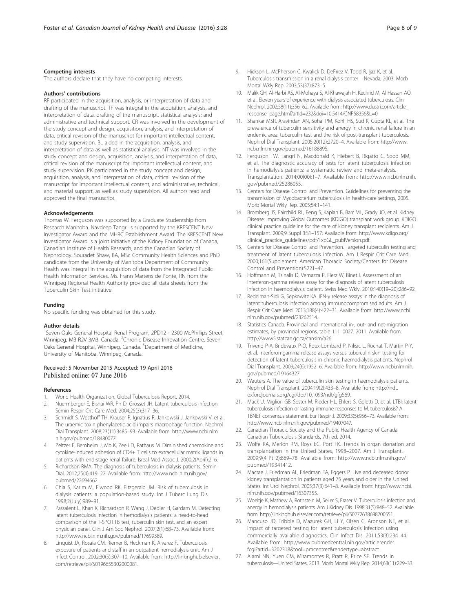## <span id="page-7-0"></span>Competing interests

The authors declare that they have no competing interests.

#### Authors' contributions

RF participated in the acquisition, analysis, or interpretation of data and drafting of the manuscript. TF was integral in the acquisition, analysis, and interpretation of data, drafting of the manuscript, statistical analysis; and administrative and technical support. CR was involved in the development of the study concept and design, acquisition, analysis, and interpretation of data, critical revision of the manuscript for important intellectual content, and study supervision. BL aided in the acquisition, analysis, and interpretation of data as well as statistical analysis. NT was involved in the study concept and design, acquisition, analysis, and interpretation of data, critical revision of the manuscript for important intellectual content, and study supervision. PK participated in the study concept and design, acquisition, analysis, and interpretation of data, critical revision of the manuscript for important intellectual content, and administrative, technical, and material support, as well as study supervision. All authors read and approved the final manuscript.

#### Acknowledgements

Thomas W. Ferguson was supported by a Graduate Studentship from Research Manitoba. Navdeep Tangri is supported by the KRESCENT New Investigator Award and the MHRC Establishment Award. The KRESCENT New Investigator Award is a joint initiative of the Kidney Foundation of Canada, Canadian Institute of Health Research, and the Canadian Society of Nephrology. Souradet Shaw, BA, MSc Community Health Sciences and PhD candidate from the University of Manitoba Department of Community Health was integral in the acquisition of data from the Integrated Public Health Information Services. Ms. Frann Martens de Ponte, RN from the Winnipeg Regional Health Authority provided all data sheets from the Tuberculin Skin Test initiative.

#### Funding

No specific funding was obtained for this study.

#### Author details

<sup>1</sup>Seven Oaks General Hospital Renal Program, 2PD12 - 2300 McPhillips Street, Winnipeg, MB R2V 3M3, Canada. <sup>2</sup>Chronic Disease Innovation Centre, Seven Oaks General Hospital, Winnipeg, Canada. <sup>3</sup>Department of Medicine, University of Manitoba, Winnipeg, Canada.

# Received: 5 November 2015 Accepted: 19 April 2016 Published online: 07 June 2016

#### References

- 1. World Health Organization. Global Tuberculosis Report. 2014.
- 2. Nuermberger E, Bishai WR, Ph D, Grosset JH. Latent tuberculosis infection. Semin Respir Crit Care Med. 2004;25(3):317–36.
- 3. Schmidt S, Westhoff TH, Krauser P, Ignatius R, Jankowski J, Jankowski V, et al. The uraemic toxin phenylacetic acid impairs macrophage function. Nephrol Dial Transplant. 2008;23(11):3485–93. Available from: [http://www.ncbi.nlm.](http://www.ncbi.nlm.nih.gov/pubmed/18480077) [nih.gov/pubmed/18480077](http://www.ncbi.nlm.nih.gov/pubmed/18480077).
- 4. Zeltzer E, Bernheim J, Mb K, Zeeli D, Rathaus M. Diminished chemokine and cytokine-induced adhesion of CD4+ T cells to extracellular matrix ligands in patients with end-stage renal failure. Isreal Med Assoc J. 2000;2(April):2–6.
- 5. Richardson RMA. The diagnosis of tuberculosis in dialysis patients. Semin Dial. 2012;25(4):419–22. Available from: [http://www.ncbi.nlm.nih.gov/](http://www.ncbi.nlm.nih.gov/pubmed/22694662) [pubmed/22694662.](http://www.ncbi.nlm.nih.gov/pubmed/22694662)
- 6. Chia S, Karim M, Elwood RK, Fitzgerald JM. Risk of tuberculosis in dialysis patients: a population-based study. Int J Tuberc Lung Dis. 1998;2(July):989–91.
- 7. Passalent L, Khan K, Richardson R, Wang J, Dedier H, Gardam M. Detecting latent tuberculosis infection in hemodialysis patients: a head-to-head comparison of the T-SPOT.TB test, tuberculin skin test, and an expert physician panel. Clin J Am Soc Nephrol. 2007;2(1):68–73. Available from: [http://www.ncbi.nlm.nih.gov/pubmed/17699389.](http://www.ncbi.nlm.nih.gov/pubmed/17699389)
- 8. Linquist JA, Rosaia CM, Riemer B, Heckman K, Alvarez F. Tuberculosis exposure of patients and staff in an outpatient hemodialysis unit. Am J Infect Control. 2002;30(5):307–10. Available from: [http://linkinghub.elsevier.](http://linkinghub.elsevier.com/retrieve/pii/S0196655302000081) [com/retrieve/pii/S0196655302000081.](http://linkinghub.elsevier.com/retrieve/pii/S0196655302000081)
- Hickson L, McPherson C, Kwalick D, DeFriez V, Todd R, Ijaz K, et al. Tuberculosis transmission in a renal dialysis center—Nevada, 2003. Morb Mortal Wkly Rep. 2003;53(37):873–5.
- 10. Malik GH, Al-Harbi AS, Al-Mohaya S, Al-Khawajah H, Kechrid M, Al Hassan AO, et al. Eleven years of experience with dialysis associated tuberculosis. Clin Nephrol. 2002;58(11):356–62. Available from: [http://www.dustri.com/article\\_](http://www.dustri.com/article_response_page.html?artId=232&doi=10.5414/CNP58356&L=0) [response\\_page.html?artId=232&doi=10.5414/CNP58356&L=0.](http://www.dustri.com/article_response_page.html?artId=232&doi=10.5414/CNP58356&L=0)
- 11. Shankar MSR, Aravindan AN, Sohal PM, Kohli HS, Sud K, Gupta KL, et al. The prevalence of tuberculin sensitivity and anergy in chronic renal failure in an endemic area: tuberculin test and the risk of post-transplant tuberculosis. Nephrol Dial Transplant. 2005;20(12):2720–4. Available from: [http://www.](http://www.ncbi.nlm.nih.gov/pubmed/16188895) [ncbi.nlm.nih.gov/pubmed/16188895](http://www.ncbi.nlm.nih.gov/pubmed/16188895).
- 12. Ferguson TW, Tangri N, Macdonald K, Hiebert B, Rigatto C, Sood MM, et al. The diagnostic accuracy of tests for latent tuberculosis infection in hemodialysis patients: a systematic review and meta-analysis. Transplantation. 2014;00(00):1–7. Available from: [http://www.ncbi.nlm.nih.](http://www.ncbi.nlm.nih.gov/pubmed/25286055) [gov/pubmed/25286055.](http://www.ncbi.nlm.nih.gov/pubmed/25286055)
- 13. Centers for Disease Control and Prevention. Guidelines for preventing the transmission of Mycobacterium tuberculosis in health-care settings, 2005. Morb Mortal Wkly Rep. 2005;54:1–141.
- 14. Bromberg JS, Fairchild RL, Feng S, Kaplan B, Barr ML, Grady JO, et al. Kidney Disease: Improving Global Outcomes (KDIGO) transplant work group. KDIGO clinical practice guideline for the care of kidney transplant recipients. Am J Transplant. 2009;9 Suppl 3:S1–157. Available from: [http://www.kdigo.org/](http://www.kdigo.org/clinical_practice_guidelines/pdf/TxpGL_publVersion.pdf) [clinical\\_practice\\_guidelines/pdf/TxpGL\\_publVersion.pdf.](http://www.kdigo.org/clinical_practice_guidelines/pdf/TxpGL_publVersion.pdf)
- 15. Centers for Disease Control and Prevention. Targeted tuberculin testing and treatment of latent tuberculosis infection. Am J Respir Crit Care Med. 2000;161(Supplement: American Thoracic Society/Centers for Disease Control and Prevention):S221–47.
- 16. Hoffmann M, Tsinalis D, Vernazza P, Fierz W, Binet I. Assessment of an interferon-gamma release assay for the diagnosis of latent tuberculosis infection in haemodialysis patient. Swiss Med Wkly. 2010;140(19–20):286–92.
- 17. Redelman-Sidi G, Sepkowitz KA. IFN-γ release assays in the diagnosis of latent tuberculosis infection among immunocompromised adults. Am J Respir Crit Care Med. 2013;188(4):422–31. Available from: [http://www.ncbi.](http://www.ncbi.nlm.nih.gov/pubmed/23262514) [nlm.nih.gov/pubmed/23262514.](http://www.ncbi.nlm.nih.gov/pubmed/23262514)
- 18. Statistics Canada. Provincial and international in-, out- and net-migration estimates, by provincial regions, table 111–0027. 2011. Available from: <http://www5.statcan.gc.ca/cansim/a26>
- 19. Triverio P-A, Bridevaux P-O, Roux-Lombard P, Niksic L, Rochat T, Martin P-Y, et al. Interferon-gamma release assays versus tuberculin skin testing for detection of latent tuberculosis in chronic haemodialysis patients. Nephrol Dial Transplant. 2009;24(6):1952–6. Available from: [http://www.ncbi.nlm.nih.](http://www.ncbi.nlm.nih.gov/pubmed/19164327) [gov/pubmed/19164327](http://www.ncbi.nlm.nih.gov/pubmed/19164327).
- 20. Wauters A. The value of tuberculin skin testing in haemodialysis patients. Nephrol Dial Transplant. 2004;19(2):433–8. Available from: [http://ndt.](http://ndt.oxfordjournals.org/cgi/doi/10.1093/ndt/gfg569) [oxfordjournals.org/cgi/doi/10.1093/ndt/gfg569](http://ndt.oxfordjournals.org/cgi/doi/10.1093/ndt/gfg569).
- 21. Mack U, Migliori GB, Sester M, Rieder HL, Ehlers S, Goletti D, et al. LTBI: latent tuberculosis infection or lasting immune responses to M. tuberculosis? A TBNET consensus statement. Eur Respir J. 2009;33(5):956–73. Available from: [http://www.ncbi.nlm.nih.gov/pubmed/19407047.](http://www.ncbi.nlm.nih.gov/pubmed/19407047)
- 22. Canadian Thoracic Society and the Public Health Agency of Canada. Canadian Tuberculosis Standards. 7th ed. 2014.
- 23. Wolfe RA, Merion RM, Roys EC, Port FK. Trends in organ donation and transplantation in the United States, 1998–2007. Am J Transplant. 2009;9(4 Pt 2):869–78. Available from: [http://www.ncbi.nlm.nih.gov/](http://www.ncbi.nlm.nih.gov/pubmed/19341412) [pubmed/19341412](http://www.ncbi.nlm.nih.gov/pubmed/19341412).
- 24. Macrae J, Friedman AL, Friedman EA, Eggers P. Live and deceased donor kidney transplantation in patients aged 75 years and older in the United States. Int Urol Nephrol. 2005;37(3):641–8. Available from: [http://www.ncbi.](http://www.ncbi.nlm.nih.gov/pubmed/16307355) [nlm.nih.gov/pubmed/16307355.](http://www.ncbi.nlm.nih.gov/pubmed/16307355)
- 25. Woeltje K, Mathew A, Rothstein M, Seiler S, Fraser V. Tuberculosis infection and anergy in hemodialysis patients. Am J Kidney Dis. 1998;31(5):848–52. Available from: [http://linkinghub.elsevier.com/retrieve/pii/S0272638698700551.](http://linkinghub.elsevier.com/retrieve/pii/S0272638698700551)
- 26. Mancuso JD, Tribble D, Mazurek GH, Li Y, Olsen C, Aronson NE, et al. Impact of targeted testing for latent tuberculosis infection using commercially available diagnostics. Clin Infect Dis. 2011;53(3):234–44. Available from: [http://www.pubmedcentral.nih.gov/articlerender.](http://www.pubmedcentral.nih.gov/articlerender.fcgi?artid=3202318&tool=pmcentrez&rendertype=abstract) [fcgi?artid=3202318&tool=pmcentrez&rendertype=abstract.](http://www.pubmedcentral.nih.gov/articlerender.fcgi?artid=3202318&tool=pmcentrez&rendertype=abstract)
- 27. Alami NN, Yuen CM, Miramontes R, Pratt R, Price SF. Trends in tuberculosis—United States, 2013. Morb Mortal Wkly Rep. 2014;63(11):229–33.